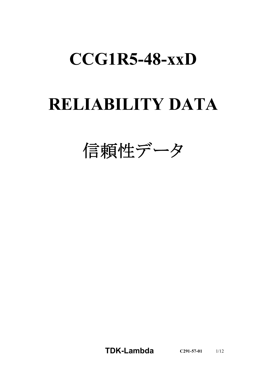# **CCG1R5-48-xxD**

# **RELIABILITY DATA**

信頼性データ

**TDK-Lambda C291-57-01** 1/12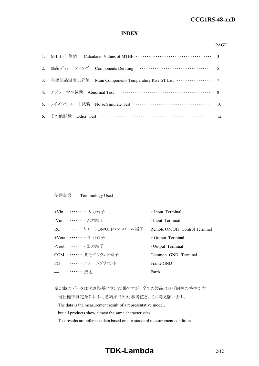#### *RWS 50B-600B Series* **CCG1R5-48-xxD**

### **INDEX**

#### PAGE

| 3. 主要部品温度上昇值 Main Components Temperature Rise AT List ················ 7 |    |
|--------------------------------------------------------------------------|----|
| 4. アブノーマル試験 Abnormal Test …………………………………………………… 8                         |    |
| 5. ノイズシミュレート試験 Noise Simulate Test ……………………………………                        | 10 |
| 6. その他試験 Other Test ……………………………………………………… 12                             |    |

### 使用記号 Terminology Used

|       | +Vin …… + 入力端子                 | + Input Terminal               |
|-------|--------------------------------|--------------------------------|
|       | -Vin ••••••• - 入力端子            | - Input Terminal               |
|       | RC •・・・・・・・ リモートON/OFFコントロール端子 | Remote ON/OFF Control Terminal |
|       | +Vout …… + 出力端子                | $+$ Output Terminal            |
|       | -Vout ・・・・・・ - 出力端子            | - Output Terminal              |
|       | COM …… 共通グラウンド端子               | Common GND Terminal            |
|       | FG ······ フレームグラウンド            | Frame GND                      |
| $\pm$ | …… 接地                          | Earth                          |

※記載のデータは代表機種の測定結果ですが、全ての製品はほぼ同等の特性です。

当社標準測定条件における結果であり、参考値としてお考え願います。

The data is the measurement result of a representative model,

but all products show almost the same characteristics.

Test results are reference data based on our standard measurement condition.

## **TDK-Lambda**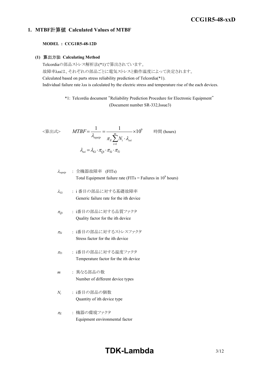### *RWS 50B-600B Series* **CCG1R5-48-xxD**

### **1. MTBF**計算値 **Calculated Values of MTBF**

### **MODEL : CCG1R5-48-12D**

### **(1)** 算出方法 **Calculating Method**

Telcordiaの部品ストレス解析法(\*1)で算出されています。 故障率λssは、それぞれの部品ごとに電気ストレスと動作温度によって決定されます。 Calculated based on parts stress reliability prediction of Telcordia(\*1). Individual failure rate λss is calculated by the electric stress and temperature rise of the each devices.

> \*1: Telcordia document "Reliability Prediction Procedure for Electronic Equipment" (Document number SR-332,Issue3)

$$
\langle \hat{\mathbf{g}} \mathbf{\pm} \mathbf{x} \rangle \qquad MTBF = \frac{1}{\lambda_{equip}} = \frac{1}{\pi_E \sum_{i=1}^{m} N_i \cdot \lambda_{ssi}} \times 10^9 \qquad \text{iff } (\text{hours})
$$
\n
$$
\lambda_{ssi} = \lambda_{Gi} \cdot \pi_{Qi} \cdot \pi_{Si} \cdot \pi_{Ti}
$$

$$
\lambda_{\text{equip}} : \hat{\pm} \circledR \circledR \circledR \circledR
$$
\n
$$
\lambda_{\text{equip}}
$$
\n
$$
\text{Total Equipment failure rate (FITs = Failure in 10}^9 \text{ hours})
$$

- <sup>l</sup>*Gi* : i 番目の部品に対する基礎故障率 Generic failure rate for the ith device
- <sup>p</sup>*Qi* : i番目の部品に対する品質ファクタ Quality factor for the ith device
- <sup>p</sup>*Si* : i番目の部品に対するストレスファクタ Stress factor for the ith device
- <sup>p</sup>*Ti* : i番目の部品に対する温度ファクタ Temperature factor for the ith device
- *m* : 異なる部品の数 Number of different device types
- *Ni* : i番目の部品の個数 Quantity of ith device type
- <sup>p</sup>*<sup>E</sup>* : 機器の環境ファクタ Equipment environmental factor

# **TDK-Lambda**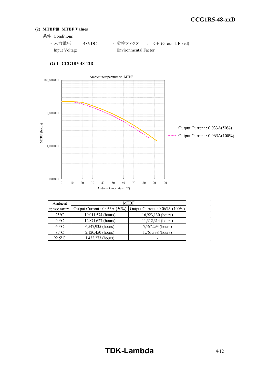### **(2) MTBF**値 **MTBF Values**

- 条件 Conditions
	- · 入力電圧 : 48VDC ·環境ファクタ : GF (Ground, Fixed) Input Voltage Environmental Factor



### **(2)-1 CCG1R5-48-12D**

| Ambient        | MTBF                         |                                |  |  |  |  |  |  |  |
|----------------|------------------------------|--------------------------------|--|--|--|--|--|--|--|
| temperature    | Output Current: 0.033A (50%) | Output Current : 0.065A (100%) |  |  |  |  |  |  |  |
| $25^{\circ}$ C | 19,011,574 (hours)           | 16,923,130 (hours)             |  |  |  |  |  |  |  |
| $40^{\circ}$ C | 12,871,627 (hours)           | 11,312,314 (hours)             |  |  |  |  |  |  |  |
| $60^{\circ}$ C | 6,547,935 (hours)            | 5,567,293 (hours)              |  |  |  |  |  |  |  |
| $85^{\circ}$ C | 2,120,450 (hours)            | 1,761,338 (hours)              |  |  |  |  |  |  |  |
| $92.5$ °C      | 1,432,273 (hours)            |                                |  |  |  |  |  |  |  |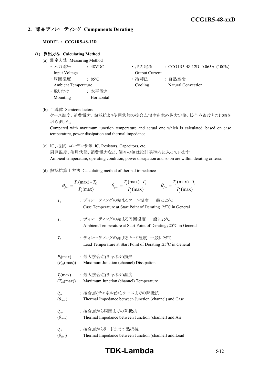### **2.** 部品ディレーティング **Components Derating**

### **MODEL : CCG1R5-48-12D**

### **(1)** 算出方法 **Calculating Method**

- (a) 測定方法 Measuring Method
	- Input Voltage **Output Current**
	-
	- ・ 取り付け : 水平置き Mounting Horizontal
	- ・ 入力電圧 : 48VDC ・ 出力電流 : CCG1R5-48-12D 0.065A (100%)
	- 周囲温度 : 85°C · 哈却法 : 自然空冷 Ambient Temperature Cooling Natural Convection
- (b) 半導体 Semiconductors

ケース温度、消費電力、熱抵抗より使用状態の接合点温度を求め最大定格、接合点温度との比較を 求めました。

Compared with maximum junction temperature and actual one which is calculated based on case temperature, power dissipation and thermal impedance.

- (c) IC、抵抗、コンデンサ等 IC, Resistors, Capacitors, etc. 周囲温度、使用状態、消費電力など、個々の値は設計基準内に入っています。 Ambient temperature, operating condition, power dissipation and so on are within derating criteria.
- (d) 熱抵抗算出方法 Calculating method of thermal impedance

|                                     | $\theta_{j-c} = \frac{T_j(\text{max}) - T_c}{P_j(\text{max})}$ $\theta_{j-a} = \frac{T_j(\text{max}) - T_a}{P_j(\text{max})}$<br>$\theta_{j-l} = \frac{T_j(\text{max}) - T_l}{P_j(\text{max})}$ |  |
|-------------------------------------|-------------------------------------------------------------------------------------------------------------------------------------------------------------------------------------------------|--|
| $T_c$                               | : ディレーティングの始まるケース温度 一般に25°C<br>Case Temperature at Start Point of Derating; 25°C in General                                                                                                     |  |
| $T_a$                               | : ディレーティングの始まる周囲温度 一般に25℃<br>Ambient Temperature at Start Point of Derating; 25°C in General                                                                                                    |  |
| $T_I$                               | : ディレーティングの始まるリード温度 一般に25℃<br>Lead Temperature at Start Point of Derating; 25°C in General                                                                                                      |  |
| $(P_{ch}(\text{max}))$              | $P_i$ (max) : 最大接合点(チャネル)損失<br>Maximum Junction (channel) Dissipation                                                                                                                           |  |
| $(T_{ch}(\text{max}))$              | $T_j$ (max) : 最大接合点(チャネル)温度<br>Maximum Junction (channel) Temperature                                                                                                                           |  |
| $\theta_{j-c}$<br>$(\theta_{ch-c})$ | : 接合点(チャネル)からケースまでの熱抵抗<br>Thermal Impedance between Junction (channel) and Case                                                                                                                 |  |
| $\theta_{i-a}$<br>$(\theta_{ch-a})$ | : 接合点から周囲までの熱抵抗<br>Thermal Impedance between Junction (channel) and Air                                                                                                                         |  |
| $\theta_{i-l}$<br>$(\theta_{ch-l})$ | : 接合点からリードまでの熱抵抗<br>Thermal Impedance between Junction (channel) and Lead                                                                                                                       |  |

## **TDK-Lambda** 5/12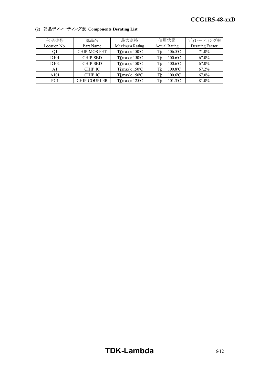| 部品番号             | 部品名                 | 最大定格                     | 使用状態                          | ディレーティング率       |
|------------------|---------------------|--------------------------|-------------------------------|-----------------|
| Location No.     | Part Name           | Maximum Rating           | <b>Actual Rating</b>          | Derating Factor |
| Ql               | <b>CHIP MOS FET</b> | $Tj(max)$ : 150°C        | $106.5$ <sup>o</sup> C<br>Ti: | 71.0%           |
| D <sub>101</sub> | <b>CHIP SBD</b>     | $Tj(max)$ : 150 °C       | $100.6$ °C                    | 67.0%           |
| D <sub>102</sub> | <b>CHIP SBD</b>     | $Tj(max)$ : 150 °C       | $100.6$ °C                    | 67.0%           |
| A1               | <b>CHIP IC</b>      | $Tj(max)$ : 150°C        | $100.8$ <sup>o</sup> C<br>Гi: | 67.2%           |
| A101             | <b>CHIP IC</b>      | $Tj(max)$ : 150°C        | $100.6$ °C                    | 67.0%           |
| PC <sub>1</sub>  | <b>CHIP COUPLER</b> | Tj(max): $125^{\circ}$ C | $101.3$ °C                    | 81.0%           |

### **(2)** 部品ディレーティング表 **Components Derating List**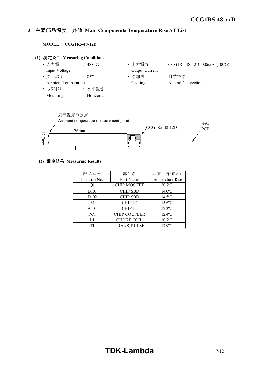#### *INSTRUCTION MANUAL* **3.** 主要部品温度上昇値 **Main Components Temperature Rise ΔT List**

**MODEL : CCG1R5-48-12D**





### **(2)** 測定結果 **Measuring Results**

| 部品番号              | 部品名                 | 温度上昇值 ΔT              |  |  |
|-------------------|---------------------|-----------------------|--|--|
| Location No.      | Part Name           | Temperature Rise      |  |  |
| Q1                | <b>CHIP MOS FET</b> | $20.7$ °C             |  |  |
| D <sub>10</sub> 1 | <b>CHIP SBD</b>     | $14.0$ °C             |  |  |
| D <sub>102</sub>  | <b>CHIP SBD</b>     | $14.5^{\circ}$ C      |  |  |
| A <sub>1</sub>    | <b>CHIP IC</b>      | $15.6$ °C             |  |  |
| A101              | <b>CHIP IC</b>      | $12.3$ <sup>o</sup> C |  |  |
| PC1               | <b>CHIP COUPLER</b> | $12.4$ <sup>o</sup> C |  |  |
| L1                | <b>CHOKE COIL</b>   | $10.7$ °C             |  |  |
| Τ1                | TRANS, PULSE        | $17.9$ °C             |  |  |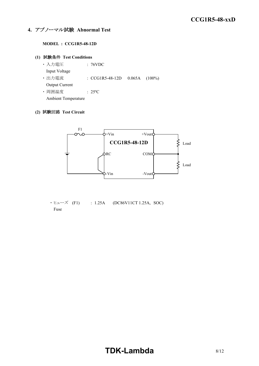### **4.** アブノーマル試験 **Abnormal Test**

### **MODEL : CCG1R5-48-12D**

### **(1)** 試験条件 **Test Conditions**

・ 入力電圧 : 76VDC Input Voltage ・ 出力電流 : CCG1R5-48-12D 0.065A (100%) Output Current ・ 周囲温度 : 25ºC

Ambient Temperature

### **(2)** 試験回路 **Test Circuit**



 $\cdot$  E $\pm$  - $\times$  (F1) : 1.25A (DC86V11CT 1.25A, SOC) Fuse

# **TDK-Lambda**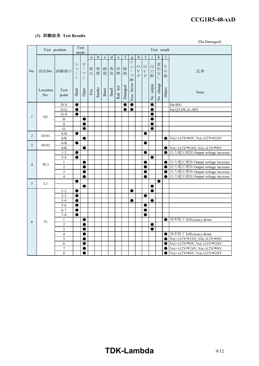#### *RWS 50B-600B Series* **CCG1R5-48-xxD**

### **(3)** 試験結果 **Test Results**

(Da:Damaged)

|                | Test position     | mode                                          | Test                                                        |                                                                            | Test result           |             |             |         |             |             |                                                           |                                               |                                             |                         |                                             |                         |                                                                                                                         |
|----------------|-------------------|-----------------------------------------------|-------------------------------------------------------------|----------------------------------------------------------------------------|-----------------------|-------------|-------------|---------|-------------|-------------|-----------------------------------------------------------|-----------------------------------------------|---------------------------------------------|-------------------------|---------------------------------------------|-------------------------|-------------------------------------------------------------------------------------------------------------------------|
| No.            |                   |                                               |                                                             |                                                                            | $\rm{a}$              | $\mathbf b$ | $\mathbf c$ | $\rm d$ | $\mathbf e$ | $\mathbf f$ | $\mathbf{g}$                                              | $\mathbf h$                                   | I                                           |                         | ${\bf k}$                                   | 1                       |                                                                                                                         |
|                |                   | 部品No. 試験端子                                    | $\ddot{\checkmark}$<br>$\equiv$<br>$\mathbf{I}$<br>$\vdash$ | 才<br>$\overline{\phantom{a}}$<br>$\mathcal{P}$<br>$\overline{\phantom{a}}$ | 発<br>火                | 発<br>煙      | 破<br>裂      | 異<br>臭  | 赤<br>熱      | 破<br>損      | ヒ<br>그<br>$\begin{array}{c} \hline \end{array}$<br>ズ<br>断 | $\circ$<br>$\bar{\mathrm{V}}$<br>$\mathbf{P}$ | $\bigcirc$<br>$\mathbf C$<br>$\overline{P}$ | 出<br>力<br>断             | 変化<br>$\dot{\mathcal{T}}$<br>$\overline{L}$ | そ<br>$\mathcal{O}$<br>他 | 記事                                                                                                                      |
|                | Location<br>No.   | Test<br>point                                 | Short                                                       | Open                                                                       | $\operatorname{Fire}$ | Smoke       | Burst       | Smell   | Red hot     | Damaged     | blown<br>Fuse                                             |                                               |                                             | output<br>$\frac{1}{2}$ | No change                                   | Others                  | Note                                                                                                                    |
|                |                   | $D-S$                                         | $\bullet$                                                   |                                                                            |                       |             |             |         |             |             | $\bullet$                                                 |                                               |                                             | 0                       |                                             |                         | Da:SH1                                                                                                                  |
|                |                   | $D-G$                                         | $\bullet$                                                   |                                                                            |                       |             |             |         |             |             | $\bullet$                                                 |                                               |                                             | 0                       |                                             |                         | Da:Q3,D8,A1,SH1                                                                                                         |
| $\mathbf{1}$   | Q1                | $G-S$                                         | $\bullet$                                                   |                                                                            |                       |             |             |         |             |             |                                                           |                                               |                                             | 0                       |                                             |                         |                                                                                                                         |
|                |                   | D                                             |                                                             | $\bullet$                                                                  |                       |             |             |         |             |             |                                                           |                                               |                                             | 0                       |                                             |                         |                                                                                                                         |
|                |                   | $\rm S$                                       |                                                             |                                                                            |                       |             |             |         |             |             |                                                           |                                               |                                             | e                       |                                             |                         |                                                                                                                         |
|                |                   | $\mathbf G$<br>$\mathbf{A}\text{-}\mathbf{K}$ |                                                             | $\bullet$                                                                  |                       |             |             |         |             |             |                                                           |                                               | $\bullet$                                   | 0                       |                                             |                         |                                                                                                                         |
| 2              | D <sub>10</sub> 1 | $\mathbf{A/K}$                                | $\bullet$                                                   |                                                                            |                       |             |             |         |             |             |                                                           |                                               |                                             |                         |                                             | 0                       | $\text{Vo}(+)12\text{V}\rightarrow 0\text{V}, \text{Vo}(-)12\text{V}\rightarrow 24\text{V}$                             |
|                |                   | $A-K$                                         | $\bullet$                                                   |                                                                            |                       |             |             |         |             |             |                                                           |                                               | ●                                           |                         |                                             |                         |                                                                                                                         |
| 3              | D <sub>102</sub>  | $\mathbf{A/K}$                                |                                                             | $\bullet$                                                                  |                       |             |             |         |             |             |                                                           |                                               |                                             |                         |                                             | $\bullet$               | $\operatorname{Vo}(+)12\mathrm{V}\rightarrow 24\mathrm{V}, \operatorname{Vo}(\cdot)12\mathrm{V}\rightarrow 0\mathrm{V}$ |
|                | PC1               | $1 - 2$                                       | $\bullet$                                                   |                                                                            |                       |             |             |         |             |             |                                                           |                                               |                                             |                         |                                             | 0                       | 出力電圧増加 Output voltage increase                                                                                          |
|                |                   | $3 - 4$                                       | $\bullet$                                                   |                                                                            |                       |             |             |         |             |             |                                                           |                                               |                                             | $\bullet$               |                                             |                         |                                                                                                                         |
|                |                   | $\mathbf{1}$                                  |                                                             | $\bullet$                                                                  |                       |             |             |         |             |             |                                                           |                                               |                                             |                         |                                             | $\bullet$               | 出力電圧増加 Output voltage increase                                                                                          |
| $\overline{4}$ |                   | $\overline{2}$                                |                                                             | ●                                                                          |                       |             |             |         |             |             |                                                           |                                               |                                             |                         |                                             | $\bullet$               | 出力電圧増加 Output voltage increase                                                                                          |
|                |                   | 3                                             |                                                             | ●                                                                          |                       |             |             |         |             |             |                                                           |                                               | ●                                           |                         |                                             | $\bullet$               | 出力電圧増加 Output voltage increase                                                                                          |
|                |                   | $\overline{4}$                                |                                                             | $\bullet$                                                                  |                       |             |             |         |             |             |                                                           |                                               | $\bullet$                                   |                         |                                             | $\bullet$               | 出力電圧増加 Output voltage increase                                                                                          |
| 5              | L1                |                                               | ●                                                           |                                                                            |                       |             |             |         |             |             |                                                           |                                               |                                             |                         | ●                                           |                         |                                                                                                                         |
|                |                   |                                               |                                                             | ●                                                                          |                       |             |             |         |             |             |                                                           |                                               |                                             | 0                       |                                             |                         |                                                                                                                         |
|                |                   | $1 - 2$                                       | $\bullet$                                                   |                                                                            |                       |             |             |         |             |             | $\bullet$                                                 |                                               |                                             | $\bullet$               |                                             |                         |                                                                                                                         |
|                |                   | $2 - 3$                                       | ●                                                           |                                                                            |                       |             |             |         |             |             |                                                           |                                               | e                                           |                         |                                             |                         |                                                                                                                         |
|                |                   | $3 - 4$<br>$5 - 6$                            | ●                                                           |                                                                            |                       |             |             |         |             |             | ●                                                         |                                               |                                             | e                       |                                             |                         |                                                                                                                         |
|                |                   | $6 - 7$                                       | $\bullet$<br>●                                              |                                                                            |                       |             |             |         |             |             |                                                           |                                               | 0<br>●                                      |                         |                                             |                         |                                                                                                                         |
|                |                   | $7 - 8$                                       | $\bullet$                                                   |                                                                            |                       |             |             |         |             |             |                                                           |                                               |                                             |                         |                                             |                         |                                                                                                                         |
|                |                   | $\mathbf{1}$                                  |                                                             | $\bullet$                                                                  |                       |             |             |         |             |             |                                                           |                                               |                                             |                         |                                             | $\bullet$               | 効率低下 Efficiency down                                                                                                    |
| 6              | T1                | $\sqrt{2}$                                    |                                                             | $\bullet$                                                                  |                       |             |             |         |             |             |                                                           |                                               |                                             | $\bullet$               |                                             |                         |                                                                                                                         |
|                |                   | $\mathfrak{Z}$                                |                                                             | ●                                                                          |                       |             |             |         |             |             |                                                           |                                               |                                             | O                       |                                             |                         |                                                                                                                         |
|                |                   | $\overline{4}$                                |                                                             | ●                                                                          |                       |             |             |         |             |             |                                                           |                                               |                                             |                         |                                             | $\bullet$               | 効率低下 Efficiency down                                                                                                    |
|                |                   | 5                                             |                                                             | ●                                                                          |                       |             |             |         |             |             |                                                           |                                               |                                             |                         |                                             | $\bullet$               | $\text{Vo}(+)12\text{V}\rightarrow 24\text{V}, \text{Vo}(-)12\text{V}\rightarrow 0\text{V}$                             |
|                |                   | 6                                             |                                                             | $\bullet$                                                                  |                       |             |             |         |             |             |                                                           |                                               |                                             |                         |                                             | 0                       | $\text{Vo}(+)12\text{V}\rightarrow 0\text{V}, \text{Vo}(-)12\text{V}\rightarrow 24\text{V}$                             |
|                |                   | $\overline{7}$                                |                                                             |                                                                            |                       |             |             |         |             |             |                                                           |                                               |                                             |                         |                                             | 0                       | $\operatorname{Vo}(+)12\mathrm{V}\rightarrow 24\mathrm{V}, \operatorname{Vo}(\cdot)12\mathrm{V}\rightarrow 0\mathrm{V}$ |
|                |                   | 8                                             |                                                             |                                                                            |                       |             |             |         |             |             |                                                           |                                               |                                             |                         |                                             | $\bullet$               | $\text{Vo}(+)12\text{V}\rightarrow 0\text{V}, \overline{\text{Vo}(-)12\text{V}}\rightarrow 24\text{V}$                  |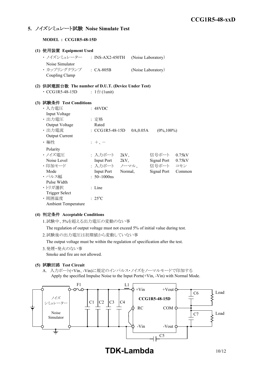### **5.** ノイズシミュレート試験 **Noise Simulate Test**

**MODEL : CCG1R5-48-15D**

| (1) 使用装置 Equipment Used                             |                              |                     |                    |        |
|-----------------------------------------------------|------------------------------|---------------------|--------------------|--------|
| ・ ノイズシミュレーター   : INS-AX2-450TH                      |                              |                     | (Noise Laboratory) |        |
| Noise Simulator                                     |                              |                     |                    |        |
| · カップリングクランプ : CA-805B                              |                              |                     | (Noise Laboratory) |        |
| Coupling Clamp                                      |                              |                     |                    |        |
| (2) 供試電源台数 The number of D.U.T. (Device Under Test) |                              |                     |                    |        |
| $\cdot$ CCG1R5-48-15D                               | : $1 \oplus (1 \text{unit})$ |                     |                    |        |
|                                                     |                              |                     |                    |        |
| (3) 試験条件 Test Conditions                            |                              |                     |                    |        |
| ・入力電圧                                               | : 48VDC                      |                     |                    |        |
| Input Voltage                                       |                              |                     |                    |        |
| ・出力電圧                                               | : 定格                         |                     |                    |        |
| Output Voltage                                      | Rated                        |                     |                    |        |
| ・出力電流                                               | : CCG1R5-48-15D              | 0A,0.05A            | $(0\%, 100\%)$     |        |
| Output Current                                      |                              |                     |                    |        |
| ・極性                                                 | $+$ , $-$                    |                     |                    |        |
| Polarity                                            |                              |                     |                    |        |
| ・ノイズ電圧                                              |                              | : 入力ポート 2kV、        | 信号ポート              | 0.75kV |
| Noise Level                                         | Input Port 2kV,              |                     | Signal Port 0.75kV |        |
| ・印加モード                                              |                              | : 入力ポート ノーマル、 信号ポート |                    | コモン    |
| Mode                                                | <b>Input Port</b>            | Normal,             | <b>Signal Port</b> | Common |
| ・パルス幅                                               | : $50 \sim 1000$ ns          |                     |                    |        |
| Pulse Width                                         |                              |                     |                    |        |
| ・トリガ選択                                              | : Line                       |                     |                    |        |
| <b>Trigger Select</b>                               |                              |                     |                    |        |
| ·周囲温度                                               | $: 25^{\circ}C$              |                     |                    |        |
| <b>Ambient Temperature</b>                          |                              |                     |                    |        |

### **(4)** 判定条件 **Acceptable Conditions**

1.試験中、5%を超える出力電圧の変動のない事

The regulation of output voltage must not exceed 5% of initial value during test.

2.試験後の出力電圧は初期値から変動していない事

The output voltage must be within the regulation of specification after the test.

3.発煙・発火のない事 Smoke and fire are not allowed.

### **(5)** 試験回路 **Test Circuit**

A. 入力ポート(+Vin、-Vin)に規定のインパルス・ノイズをノーマルモードで印加する Apply the specified Impulse Noise to the Input Ports(+Vin, -Vin) with Normal Mode.



**TDK-Lambda** 10/12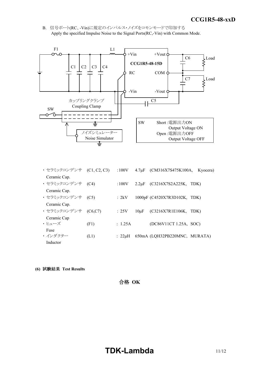*INSTRUCTION MANUAL* B. 信号ポート(RC、-Vin)に規定のインパルス・ノイズをコモンモードで印加する Apply the specified Impulse Noise to the Signal Ports(RC,-Vin) with Common Mode.



| ・セラミックコンデンサ      | (C1, C2, C3) | :100V        | 4.7 <sub>u</sub> F | (CM316X7S475K100A,            | Kyocera) |
|------------------|--------------|--------------|--------------------|-------------------------------|----------|
| Ceramic Cap.     |              |              |                    |                               |          |
| ・セラミックコンデンサ (C4) |              | :100V        | $2.2 \mu F$        | (C3216X7S2A225K,              | TDK)     |
| Ceramic Cap.     |              |              |                    |                               |          |
| ・セラミックコンデンサ      | (C5)         | : 2kV        |                    | 1000pF (C4520X7R3D102K, TDK)  |          |
| Ceramic Cap.     |              |              |                    |                               |          |
| ・ セラミックコンデンサ     | (C6, C7)     | :25V         | $10\mu F$          | (C3216X7R1E106K,              | TDK)     |
| Ceramic Cap      |              |              |                    |                               |          |
| ・トューズ            | (F1)         | : 1.25A      |                    | (DC86V11CT 1.25A, SOC)        |          |
| Fuse             |              |              |                    |                               |          |
| ・インダクター          | (L1)         | $: 22 \mu H$ |                    | 650mA (LQH32PB220MNC, MURATA) |          |
| Inductor         |              |              |                    |                               |          |

**(6)** 試験結果 **Test Results**

合格 **OK**